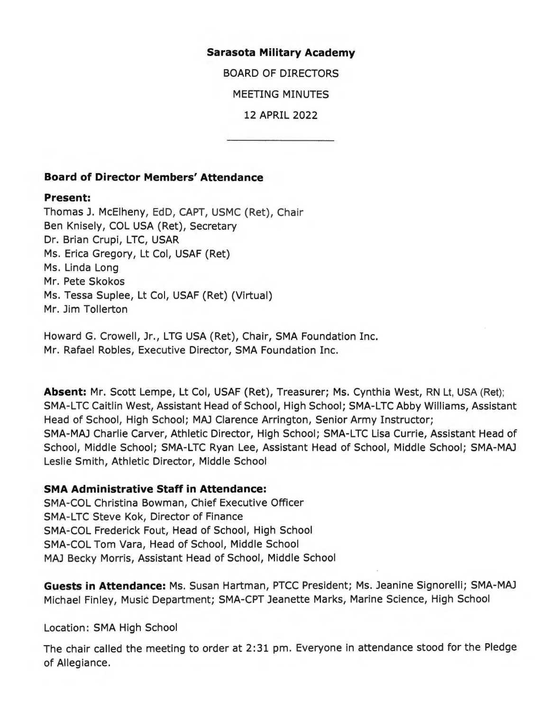#### **Sarasota Military Academy**

BOARD OF DIRECTORS

MEETING MINUTES

12 APRIL 2022

### **Board of Director Members' Attendance**

#### **Present:**

Thomas J. McElheny, EdD, CAPT, USMC (Ret), Chair Ben Knisely, COL USA (Ret), Secretary Dr. Brian Crupi, LTC, USAR Ms. Erica Gregory, Lt Col, USAF (Ret) Ms. Linda Long Mr. Pete Skokos Ms. Tessa Suplee, Lt Col, USAF (Ret) (Virtual) Mr. Jim Tollerton

Howard G. Crowell, Jr., LTG USA (Ret), Chair, SMA Foundation Inc. Mr. Rafael Robles, Executive Director, SMA Foundation Inc.

**Absent:** Mr. Scott Lempe, Lt Col, USAF (Ret), Treasurer; Ms. Cynthia West, RN Lt, USA (Ret); SMA-LTC Caitlin West, Assistant Head of School, High School; SMA-LTC Abby Williams, Assistant Head of School, High School; MAJ Clarence Arrington, Senior Army Instructor; SMA-MAJ Charlie Carver, Athletic Director, High School; SMA-LTC Lisa Currie, Assistant Head of School, Middle School; SMA-LTC Ryan Lee, Assistant Head of School, Middle School; SMA-MAJ Leslie Smith, Athletic Director, Middle School

### **SMA Administrative Staff in Attendance:**

SMA-COL Christina Bowman, Chief Executive Officer SMA-LTC Steve Kok, Director of Finance SMA-COL Frederick Fout, Head of School, High School SMA-COL Tom Vara, Head of School, Middle School MAJ Becky Morris, Assistant Head of School, Middle School

**Guests in Attendance:** Ms. Susan Hartman, PTCC President; Ms. Jeanine Signorelli; SMA-MAJ Michael Finley, Music Department; SMA-CPT Jeanette Marks, Marine Science, High School

Location: SMA High School

The chair called the meeting to order at 2:31 pm. Everyone in attendance stood for the Pledge of Allegiance.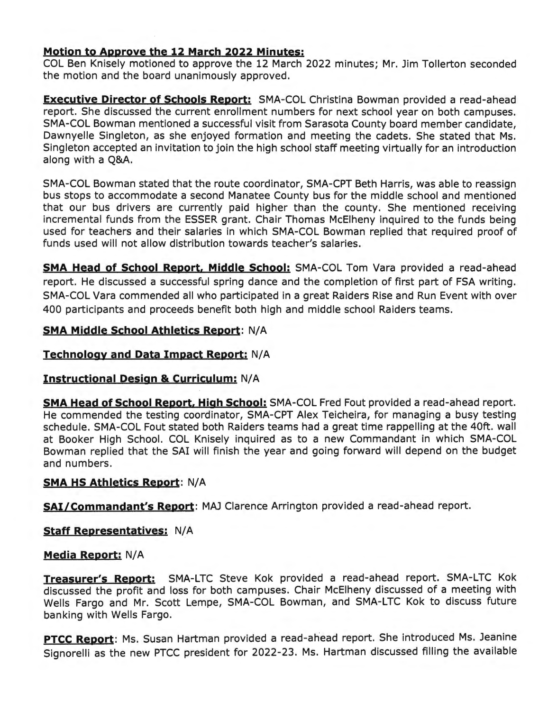### **Motion to Approve the 12 March 2022 Minutes:**

COL Ben Knisely motioned to approve the 12 March 2022 minutes; Mr. Jim Tollerton seconded the motion and the board unanimously approved.

**Executive Director of Schools Report:** SMA-COL Christina Bowman provided a read-ahead report. She discussed the current enrollment numbers for next school year on both campuses. SMA-COL Bowman mentioned a successful visit from Sarasota County board member candidate, Dawnyelle Singleton, as she enjoyed formation and meeting the cadets. She stated that Ms. Singleton accepted an invitation to join the high school staff meeting virtually for an introduction along with a Q&A.

SMA-COL Bowman stated that the route coordinator, SMA-CPT Beth Harris, was able to reassign bus stops to accommodate a second Manatee County bus for the middle school and mentioned that our bus drivers are currently paid higher than the county. She mentioned receiving incremental funds from the ESSER grant. Chair Thomas McElheny inquired to the funds being used for teachers and their salaries in which SMA-COL Bowman replied that required proof of funds used will not allow distribution towards teacher's salaries.

**SMA Head of School Report. Middle School:** SMA-COL Tom Vara provided a read-ahead report. He discussed a successful spring dance and the completion of first part of FSA writing. SMA-COL Vara commended all who participated in a great Raiders Rise and Run Event with over 400 participants and proceeds benefit both high and middle school Raiders teams.

### **SMA Middle School Athletics Report:** N/A

## **Technology and Data Impact Report:** N/A

### **Instructional Design & Curriculum:** N/A

**SMA Head of School Report. High School:** SMA-COL Fred Fout provided a read-ahead report. He commended the testing coordinator, SMA-CPT Alex Teicheira, for managing a busy testing schedule. SMA-COL Fout stated both Raiders teams had a great time rappelling at the 40ft. wall at Booker High School. COL Knisely inquired as to a new Commandant in which SMA-COL Bowman replied that the SAi will finish the year and going forward will depend on the budget and numbers.

### **SMA HS Athletics Report:** N/A

**SAi/Commandant's Report:** MAJ Clarence Arrington provided a read-ahead report.

### **Staff Representatives: N/A**

### **Media Report:** N/A

**Treasurer's Report:** SMA-LTC Steve Kok provided a read-ahead report. SMA-LTC Kok discussed the profit and loss for both campuses. Chair McElheny discussed of a meeting with Wells Fargo and Mr. Scott Lempe, SMA-COL Bowman, and SMA-LTC Kok to discuss future banking with Wells Fargo.

**PTCC Report:** Ms. Susan Hartman provided a read-ahead report. She introduced Ms. Jeanine Signorelli as the new PTCC president for 2022-23. Ms. Hartman discussed filling the available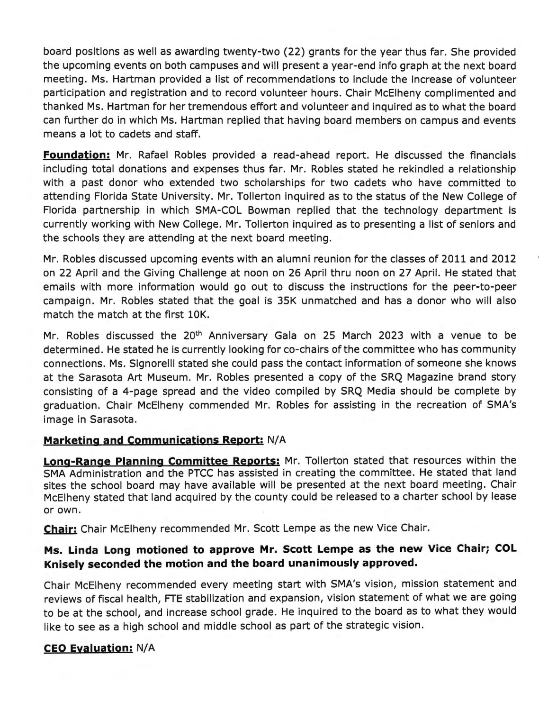board positions as well as awarding twenty-two (22) grants for the year thus far. She provided the upcoming events on both campuses and will present a year-end info graph at the next board meeting. Ms. Hartman provided a list of recommendations to include the increase of volunteer participation and registration and to record volunteer hours. Chair McElheny complimented and thanked Ms. Hartman for her tremendous effort and volunteer and inquired as to what the board can further do in which Ms. Hartman replied that having board members on campus and events means a lot to cadets and staff.

**Foundation:** Mr. Rafael Robles provided a read-ahead report. He discussed the financials including total donations and expenses thus far. Mr. Robles stated he rekindled a relationship with a past donor who extended two scholarships for two cadets who have committed to attending Florida State University. Mr. Tollerton inquired as to the status of the New College of Florida partnership in which SMA-COL Bowman replied that the technology department is currently working with New College. Mr. Tollerton inquired as to presenting a list of seniors and the schools they are attending at the next board meeting.

Mr. Robles discussed upcoming events with an alumni reunion for the classes of 2011 and 2012 on 22 April and the Giving Challenge at noon on 26 April thru noon on 27 April. He stated that emails with more information would go out to discuss the instructions for the peer-to-peer campaign. Mr. Robles stated that the goal is 35K unmatched and has a donor who will also match the match at the first lOK.

Mr. Robles discussed the 20<sup>th</sup> Anniversary Gala on 25 March 2023 with a venue to be determined. He stated he is currently looking for co-chairs of the committee who has community connections. Ms. Signorelli stated she could pass the contact information of someone she knows at the Sarasota Art Museum. Mr. Robles presented a copy of the SRQ Magazine brand story consisting of a 4-page spread and the video compiled by SRQ Media should be complete by graduation. Chair McElheny commended Mr. Robles for assisting in the recreation of SMA's image in Sarasota.

# **Marketing and Communications Report: N/A**

**Long-Range Planning Committee Reports:** Mr. Tollerton stated that resources within the SMA Administration and the PTCC has assisted in creating the committee. He stated that land sites the school board may have available will be presented at the next board meeting. Chair McElheny stated that land acquired by the county could be released to a charter school by lease or own.

**Chair:** Chair McElheny recommended Mr. Scott Lempe as the new Vice Chair.

# **Ms. Linda Long motioned to approve Mr. Scott Lempe as the new Vice Chair; COL Knisely seconded the motion and the board unanimously approved.**

Chair McElheny recommended every meeting start with SMA's vision, mission statement and reviews of fiscal health, FTE stabilization and expansion, vision statement of what we are going to be at the school, and increase school grade. He inquired to the board as to what they would like to see as a high school and middle school as part of the strategic vision.

### **CEO Evaluation:** N/A